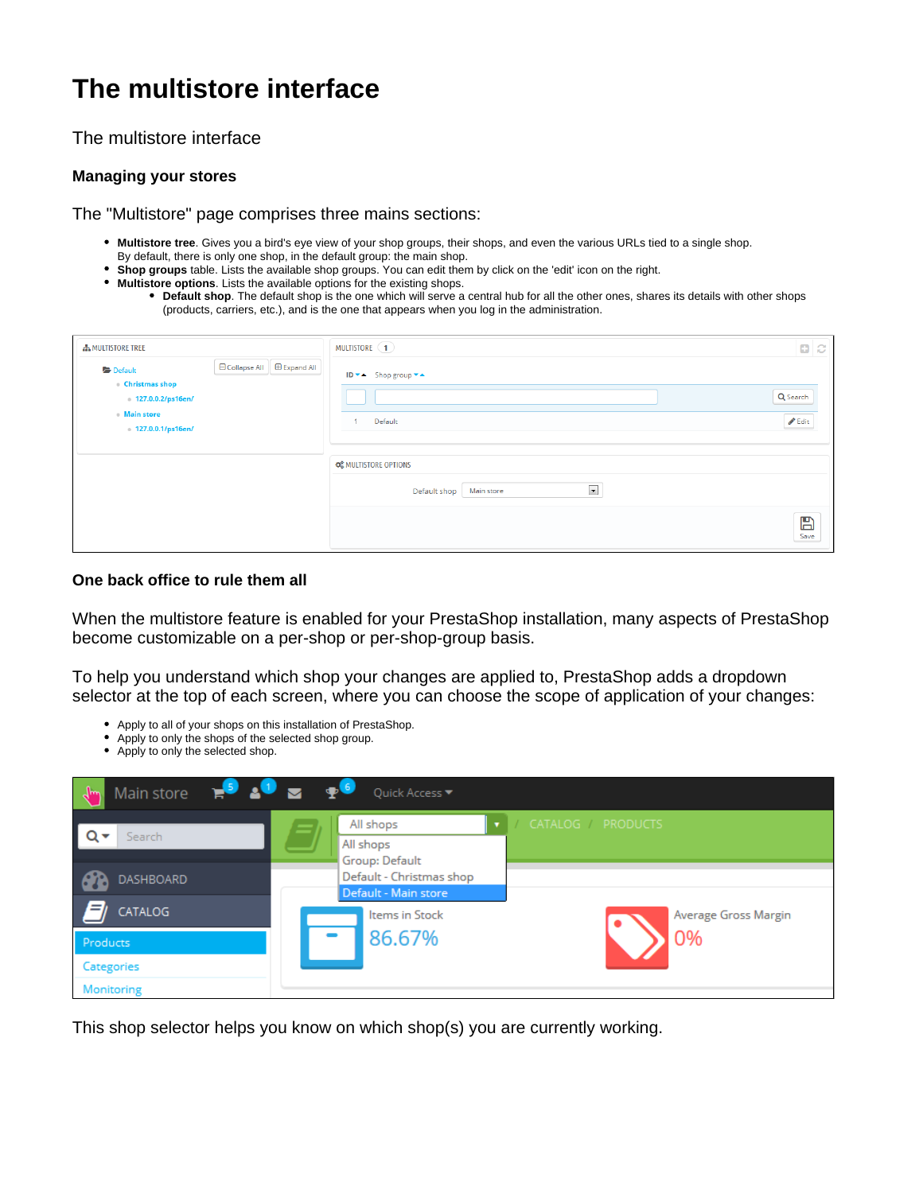## **The multistore interface**

The multistore interface

## **Managing your stores**

The "Multistore" page comprises three mains sections:

- **Multistore tree**. Gives you a bird's eye view of your shop groups, their shops, and even the various URLs tied to a single shop.
- By default, there is only one shop, in the default group: the main shop.
- **Shop groups** table. Lists the available shop groups. You can edit them by click on the 'edit' icon on the right.
- **Multistore options**. Lists the available options for the existing shops.
	- **Default shop**. The default shop is the one which will serve a central hub for all the other ones, shares its details with other shops (products, carriers, etc.), and is the one that appears when you log in the administration.

| <b>A MULTISTORE TREE</b>                              |                             | MULTISTORE (1)                                                                         | $\mathbf{a}$ $\alpha$      |
|-------------------------------------------------------|-----------------------------|----------------------------------------------------------------------------------------|----------------------------|
| Default<br><b>Christmas shop</b><br>127.0.0.2/ps16en/ | □ Collapse All □ Expand All | ID $\bullet$ A Shop group $\bullet$ A                                                  | Q Search                   |
| <b>Main store</b><br>127.0.0.1/ps16en/                |                             | Default<br>$\overline{1}$                                                              | $\blacktriangleright$ Edit |
|                                                       |                             | <b>CE MULTISTORE OPTIONS</b><br>$\overline{\phantom{a}}$<br>Default shop<br>Main store |                            |
|                                                       |                             |                                                                                        | $\mathbb{B}$<br>Save       |

## **One back office to rule them all**

When the multistore feature is enabled for your PrestaShop installation, many aspects of PrestaShop become customizable on a per-shop or per-shop-group basis.

To help you understand which shop your changes are applied to, PrestaShop adds a dropdown selector at the top of each screen, where you can choose the scope of application of your changes:

- Apply to all of your shops on this installation of PrestaShop.
- Apply to only the shops of the selected shop group.
- Apply to only the selected shop.

| Main store $\mathbb{R}^5$ $\mathbb{S}^6$ $\mathbb{Z}$ $\mathbb{R}^6$ | Quick Access ▼                                               |
|----------------------------------------------------------------------|--------------------------------------------------------------|
| Search                                                               | CATALOG PRODUCTS<br>All shops<br>All shops<br>Group: Default |
| DASHBOARD                                                            | Default - Christmas shop<br>Default - Main store             |
| CATALOG<br>Products                                                  | Items in Stock<br>Average Gross Margin<br>86.67%<br>0%       |
| Categories<br>Monitoring                                             |                                                              |

This shop selector helps you know on which shop(s) you are currently working.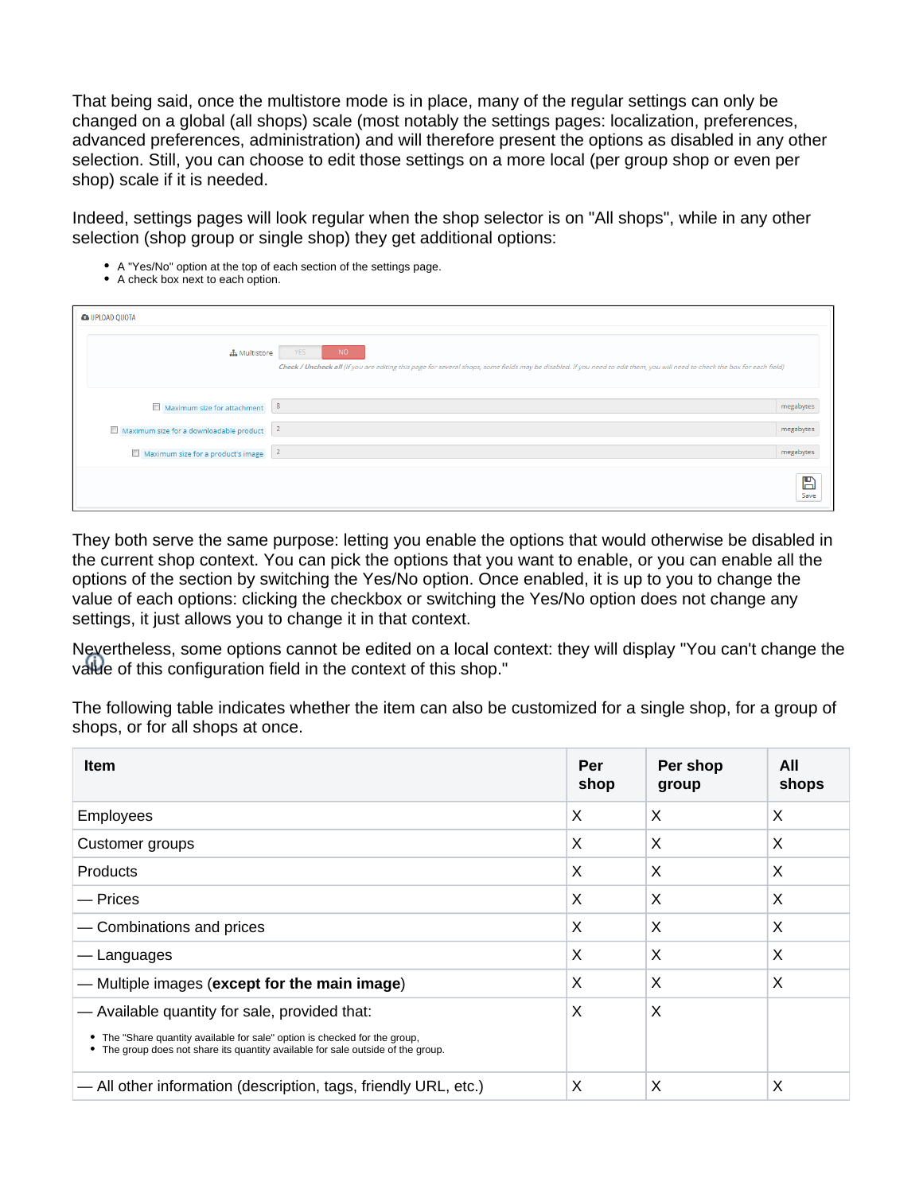That being said, once the multistore mode is in place, many of the regular settings can only be changed on a global (all shops) scale (most notably the settings pages: localization, preferences, advanced preferences, administration) and will therefore present the options as disabled in any other selection. Still, you can choose to edit those settings on a more local (per group shop or even per shop) scale if it is needed.

Indeed, settings pages will look regular when the shop selector is on "All shops", while in any other selection (shop group or single shop) they get additional options:

- A "Yes/No" option at the top of each section of the settings page.
- A check box next to each option.

| <b>&amp; UPLOAD QUOTA</b>               |                                                                                                                                                                                                 |           |
|-----------------------------------------|-------------------------------------------------------------------------------------------------------------------------------------------------------------------------------------------------|-----------|
| <b>A</b> Multistore                     | <b>YES</b><br>NO.<br>Check / Uncheck all (If you are editing this page for several shops, some fields may be disabled. If you need to edit them, you will need to check the box for each field) |           |
| Maximum size for attachment             | 8                                                                                                                                                                                               | megabytes |
| Maximum size for a downloadable product | $\overline{2}$                                                                                                                                                                                  | megabytes |
| Maximum size for a product's image 2    |                                                                                                                                                                                                 | megabytes |
|                                         |                                                                                                                                                                                                 | Е<br>Save |

They both serve the same purpose: letting you enable the options that would otherwise be disabled in the current shop context. You can pick the options that you want to enable, or you can enable all the options of the section by switching the Yes/No option. Once enabled, it is up to you to change the value of each options: clicking the checkbox or switching the Yes/No option does not change any settings, it just allows you to change it in that context.

Nevertheless, some options cannot be edited on a local context: they will display "You can't change the value of this configuration field in the context of this shop."

The following table indicates whether the item can also be customized for a single shop, for a group of shops, or for all shops at once.

| <b>Item</b>                                                                                                                                                                                                     | Per<br>shop | Per shop<br>group | All<br>shops |
|-----------------------------------------------------------------------------------------------------------------------------------------------------------------------------------------------------------------|-------------|-------------------|--------------|
| Employees                                                                                                                                                                                                       | X           | X                 | X            |
| Customer groups                                                                                                                                                                                                 | X           | X                 | X            |
| <b>Products</b>                                                                                                                                                                                                 | X           | X                 | X            |
| — Prices                                                                                                                                                                                                        | X           | X                 | X            |
| - Combinations and prices                                                                                                                                                                                       | X           | X                 | X            |
| — Languages                                                                                                                                                                                                     | X           | X                 | X            |
| - Multiple images (except for the main image)                                                                                                                                                                   | X           | X                 | X            |
| - Available quantity for sale, provided that:<br>• The "Share quantity available for sale" option is checked for the group,<br>• The group does not share its quantity available for sale outside of the group. | X           | X                 |              |
| - All other information (description, tags, friendly URL, etc.)                                                                                                                                                 | X           | X                 | X            |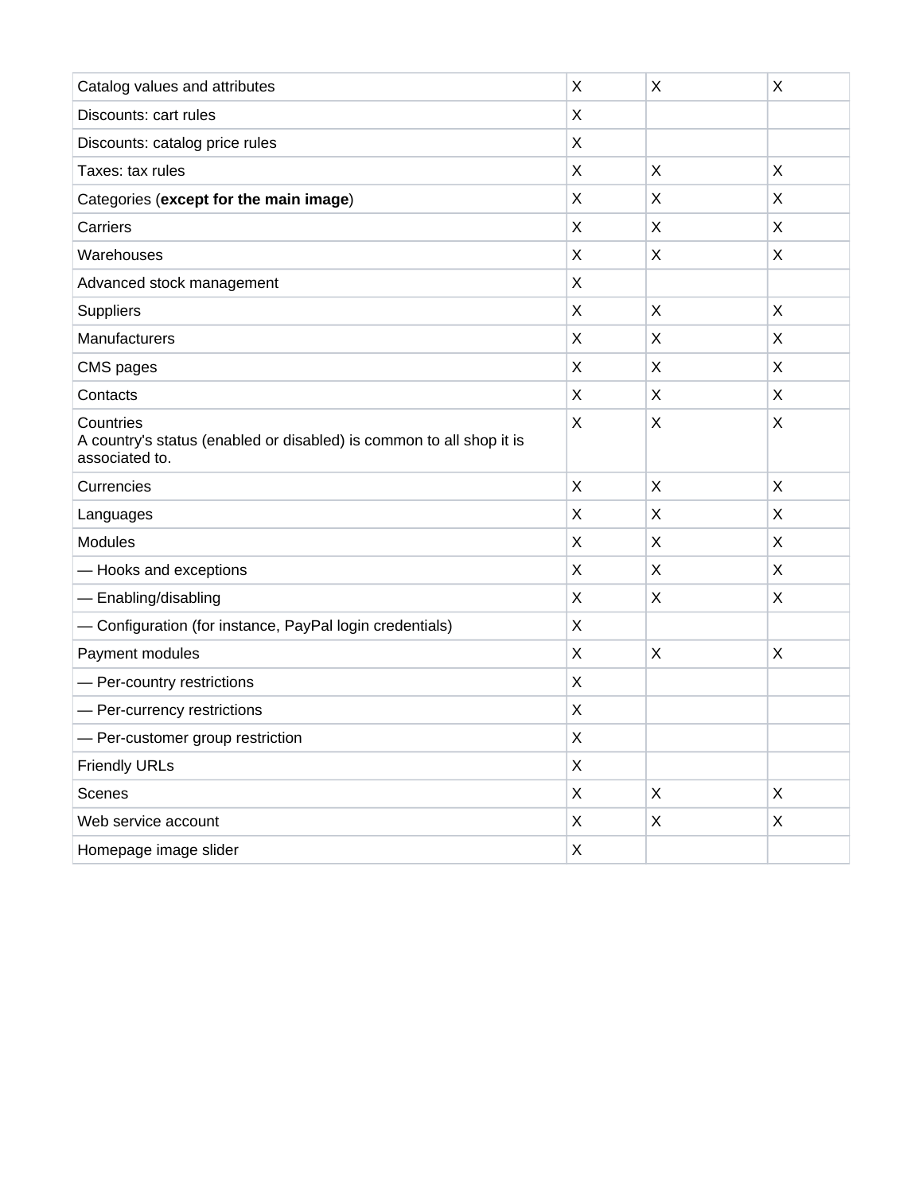|                                                                                                     | X |   |              |
|-----------------------------------------------------------------------------------------------------|---|---|--------------|
| Catalog values and attributes                                                                       |   | X | X            |
| Discounts: cart rules                                                                               | Χ |   |              |
| Discounts: catalog price rules                                                                      | Χ |   |              |
| Taxes: tax rules                                                                                    | X | X | X            |
| Categories (except for the main image)                                                              | X | X | Χ            |
| Carriers                                                                                            | X | X | X            |
| Warehouses                                                                                          | Χ | X | X            |
| Advanced stock management                                                                           | X |   |              |
| Suppliers                                                                                           | X | X | X            |
| Manufacturers                                                                                       | X | X | X            |
| CMS pages                                                                                           | X | X | X            |
| Contacts                                                                                            | Χ | X | X            |
| Countries<br>A country's status (enabled or disabled) is common to all shop it is<br>associated to. | Χ | X | X            |
| Currencies                                                                                          | X | X | X            |
| Languages                                                                                           | X | X | Χ            |
| <b>Modules</b>                                                                                      | Χ | X | Χ            |
| - Hooks and exceptions                                                                              | X | X | X            |
| - Enabling/disabling                                                                                | X | X | X            |
| - Configuration (for instance, PayPal login credentials)                                            | Χ |   |              |
| Payment modules                                                                                     | X | X | Χ            |
| - Per-country restrictions                                                                          | Χ |   |              |
| - Per-currency restrictions                                                                         | X |   |              |
| - Per-customer group restriction                                                                    | Χ |   |              |
| <b>Friendly URLs</b>                                                                                | Χ |   |              |
| Scenes                                                                                              | X | X | $\mathsf{X}$ |
| Web service account                                                                                 | X | X | Χ            |
| Homepage image slider                                                                               | Χ |   |              |